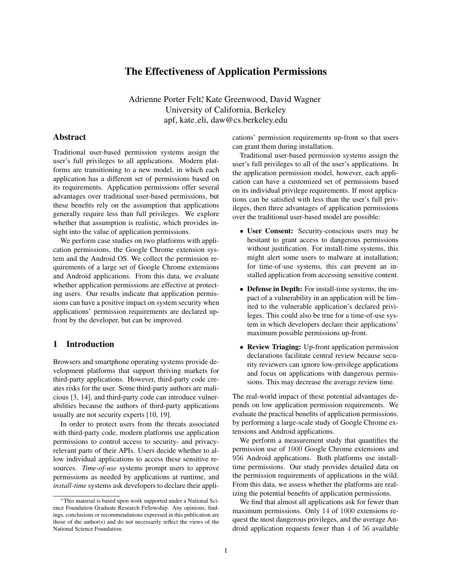# The Effectiveness of Application Permissions

Adrienne Porter Felt, Kate Greenwood, David Wagner University of California, Berkeley apf, kate eli, daw@cs.berkeley.edu

# Abstract

Traditional user-based permission systems assign the user's full privileges to all applications. Modern platforms are transitioning to a new model, in which each application has a different set of permissions based on its requirements. Application permissions offer several advantages over traditional user-based permissions, but these benefits rely on the assumption that applications generally require less than full privileges. We explore whether that assumption is realistic, which provides insight into the value of application permissions.

We perform case studies on two platforms with application permissions, the Google Chrome extension system and the Android OS. We collect the permission requirements of a large set of Google Chrome extensions and Android applications. From this data, we evaluate whether application permissions are effective at protecting users. Our results indicate that application permissions can have a positive impact on system security when applications' permission requirements are declared upfront by the developer, but can be improved.

### 1 Introduction

Browsers and smartphone operating systems provide development platforms that support thriving markets for third-party applications. However, third-party code creates risks for the user. Some third-party authors are malicious [3, 14], and third-party code can introduce vulnerabilities because the authors of third-party applications usually are not security experts [10, 19].

In order to protect users from the threats associated with third-party code, modern platforms use application permissions to control access to security- and privacyrelevant parts of their APIs. Users decide whether to allow individual applications to access these sensitive resources. *Time-of-use* systems prompt users to approve permissions as needed by applications at runtime, and *install-time* systems ask developers to declare their applications' permission requirements up-front so that users can grant them during installation.

Traditional user-based permission systems assign the user's full privileges to all of the user's applications. In the application permission model, however, each application can have a customized set of permissions based on its individual privilege requirements. If most applications can be satisfied with less than the user's full privileges, then three advantages of application permissions over the traditional user-based model are possible:

- User Consent: Security-conscious users may be hesitant to grant access to dangerous permissions without justification. For install-time systems, this might alert some users to malware at installation; for time-of-use systems, this can prevent an installed application from accessing sensitive content.
- Defense in Depth: For install-time systems, the impact of a vulnerability in an application will be limited to the vulnerable application's declared privileges. This could also be true for a time-of-use system in which developers declare their applications' maximum possible permissions up-front.
- Review Triaging: Up-front application permission declarations facilitate central review because security reviewers can ignore low-privilege applications and focus on applications with dangerous permissions. This may decrease the average review time.

The real-world impact of these potential advantages depends on low application permission requirements. We evaluate the practical benefits of application permissions. by performing a large-scale study of Google Chrome extensions and Android applications.

We perform a measurement study that quantifies the permission use of 1000 Google Chrome extensions and 956 Android applications. Both platforms use installtime permissions. Our study provides detailed data on the permission requirements of applications in the wild. From this data, we assess whether the platforms are realizing the potential benefits of application permissions.

We find that almost all applications ask for fewer than maximum permissions. Only 14 of 1000 extensions request the most dangerous privileges, and the average Android application requests fewer than 4 of 56 available

<sup>∗</sup>This material is based upon work supported under a National Science Foundation Graduate Research Fellowship. Any opinions, findings, conclusions or recommendations expressed in this publication are those of the author(s) and do not necessarily reflect the views of the National Science Foundation.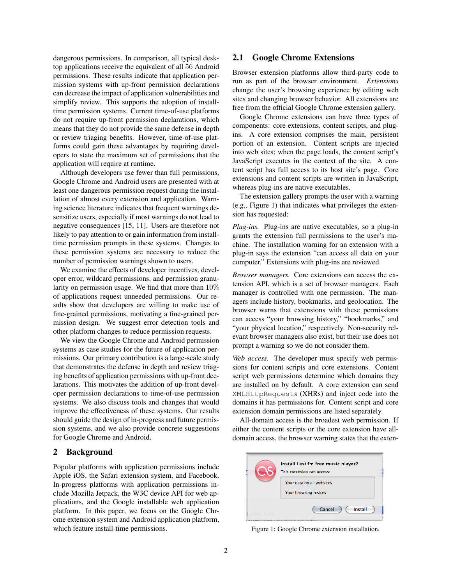dangerous permissions. In comparison, all typical desktop applications receive the equivalent of all 56 Android permissions. These results indicate that application permission systems with up-front permission declarations can decrease the impact of application vulnerabilities and simplify review. This supports the adoption of installtime permission systems. Current time-of-use platforms do not require up-front permission declarations, which means that they do not provide the same defense in depth or review triaging benefits. However, time-of-use platforms could gain these advantages by requiring developers to state the maximum set of permissions that the application will require at runtime.

Although developers use fewer than full permissions, Google Chrome and Android users are presented with at least one dangerous permission request during the installation of almost every extension and application. Warning science literature indicates that frequent warnings desensitize users, especially if most warnings do not lead to negative consequences [15, 11]. Users are therefore not likely to pay attention to or gain information from installtime permission prompts in these systems. Changes to these permission systems are necessary to reduce the number of permission warnings shown to users.

We examine the effects of developer incentives, developer error, wildcard permissions, and permission granularity on permission usage. We find that more than 10% of applications request unneeded permissions. Our results show that developers are willing to make use of fine-grained permissions, motivating a fine-grained permission design. We suggest error detection tools and other platform changes to reduce permission requests.

We view the Google Chrome and Android permission systems as case studies for the future of application permissions. Our primary contribution is a large-scale study that demonstrates the defense in depth and review triaging benefits of application permissions with up-front declarations. This motivates the addition of up-front developer permission declarations to time-of-use permission systems. We also discuss tools and changes that would improve the effectiveness of these systems. Our results should guide the design of in-progress and future permission systems, and we also provide concrete suggestions for Google Chrome and Android.

# 2 Background

Popular platforms with application permissions include Apple iOS, the Safari extension system, and Facebook. In-progress platforms with application permissions include Mozilla Jetpack, the W3C device API for web applications, and the Google installable web application platform. In this paper, we focus on the Google Chrome extension system and Android application platform, which feature install-time permissions.

### 2.1 Google Chrome Extensions

Browser extension platforms allow third-party code to run as part of the browser environment. *Extensions* change the user's browsing experience by editing web sites and changing browser behavior. All extensions are free from the official Google Chrome extension gallery.

Google Chrome extensions can have three types of components: core extensions, content scripts, and plugins. A core extension comprises the main, persistent portion of an extension. Content scripts are injected into web sites; when the page loads, the content script's JavaScript executes in the context of the site. A content script has full access to its host site's page. Core extensions and content scripts are written in JavaScript, whereas plug-ins are native executables.

The extension gallery prompts the user with a warning (e.g., Figure 1) that indicates what privileges the extension has requested:

*Plug-ins.* Plug-ins are native executables, so a plug-in grants the extension full permissions to the user's machine. The installation warning for an extension with a plug-in says the extension "can access all data on your computer." Extensions with plug-ins are reviewed.

*Browser managers.* Core extensions can access the extension API, which is a set of browser managers. Each manager is controlled with one permission. The managers include history, bookmarks, and geolocation. The browser warns that extensions with these permissions can access "your browsing history," "bookmarks," and "your physical location," respectively. Non-security relevant browser managers also exist, but their use does not prompt a warning so we do not consider them.

*Web access.* The developer must specify web permissions for content scripts and core extensions. Content script web permissions determine which domains they are installed on by default. A core extension can send XMLHttpRequests (XHRs) and inject code into the domains it has permissions for. Content script and core extension domain permissions are listed separately.

All-domain access is the broadest web permission. If either the content scripts or the core extension have alldomain access, the browser warning states that the exten-

|  | Install Last.fm free music player?<br>This extension can access: |  |
|--|------------------------------------------------------------------|--|
|  | Your data on all websites<br>Your browsing history               |  |
|  | Install<br>Cancel                                                |  |

Figure 1: Google Chrome extension installation.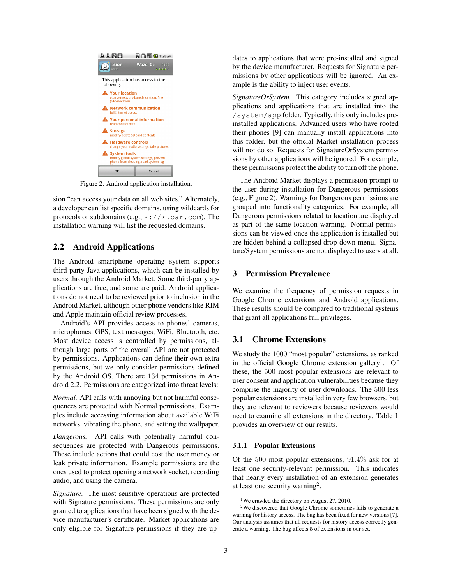

Figure 2: Android application installation.

sion "can access your data on all web sites." Alternately, a developer can list specific domains, using wildcards for protocols or subdomains (e.g.,  $\star$ :// $\star$ .bar.com). The installation warning will list the requested domains.

# 2.2 Android Applications

The Android smartphone operating system supports third-party Java applications, which can be installed by users through the Android Market. Some third-party applications are free, and some are paid. Android applications do not need to be reviewed prior to inclusion in the Android Market, although other phone vendors like RIM and Apple maintain official review processes.

Android's API provides access to phones' cameras, microphones, GPS, text messages, WiFi, Bluetooth, etc. Most device access is controlled by permissions, although large parts of the overall API are not protected by permissions. Applications can define their own extra permissions, but we only consider permissions defined by the Android OS. There are 134 permissions in Android 2.2. Permissions are categorized into threat levels:

*Normal.* API calls with annoying but not harmful consequences are protected with Normal permissions. Examples include accessing information about available WiFi networks, vibrating the phone, and setting the wallpaper.

*Dangerous.* API calls with potentially harmful consequences are protected with Dangerous permissions. These include actions that could cost the user money or leak private information. Example permissions are the ones used to protect opening a network socket, recording audio, and using the camera.

*Signature.* The most sensitive operations are protected with Signature permissions. These permissions are only granted to applications that have been signed with the device manufacturer's certificate. Market applications are only eligible for Signature permissions if they are updates to applications that were pre-installed and signed by the device manufacturer. Requests for Signature permissions by other applications will be ignored. An example is the ability to inject user events.

*SignatureOrSystem.* This category includes signed applications and applications that are installed into the /system/app folder. Typically, this only includes preinstalled applications. Advanced users who have rooted their phones [9] can manually install applications into this folder, but the official Market installation process will not do so. Requests for SignatureOrSystem permissions by other applications will be ignored. For example, these permissions protect the ability to turn off the phone.

The Android Market displays a permission prompt to the user during installation for Dangerous permissions (e.g., Figure 2). Warnings for Dangerous permissions are grouped into functionality categories. For example, all Dangerous permissions related to location are displayed as part of the same location warning. Normal permissions can be viewed once the application is installed but are hidden behind a collapsed drop-down menu. Signature/System permissions are not displayed to users at all.

# 3 Permission Prevalence

We examine the frequency of permission requests in Google Chrome extensions and Android applications. These results should be compared to traditional systems that grant all applications full privileges.

# 3.1 Chrome Extensions

We study the 1000 "most popular" extensions, as ranked in the official Google Chrome extension gallery<sup>1</sup>. Of these, the 500 most popular extensions are relevant to user consent and application vulnerabilities because they comprise the majority of user downloads. The 500 less popular extensions are installed in very few browsers, but they are relevant to reviewers because reviewers would need to examine all extensions in the directory. Table 1 provides an overview of our results.

### 3.1.1 Popular Extensions

Of the 500 most popular extensions, 91.4% ask for at least one security-relevant permission. This indicates that nearly every installation of an extension generates at least one security warning<sup>2</sup>.

<sup>&</sup>lt;sup>1</sup>We crawled the directory on August 27, 2010.

<sup>2</sup>We discovered that Google Chrome sometimes fails to generate a warning for history access. The bug has been fixed for new versions [7]. Our analysis assumes that all requests for history access correctly generate a warning. The bug affects 5 of extensions in our set.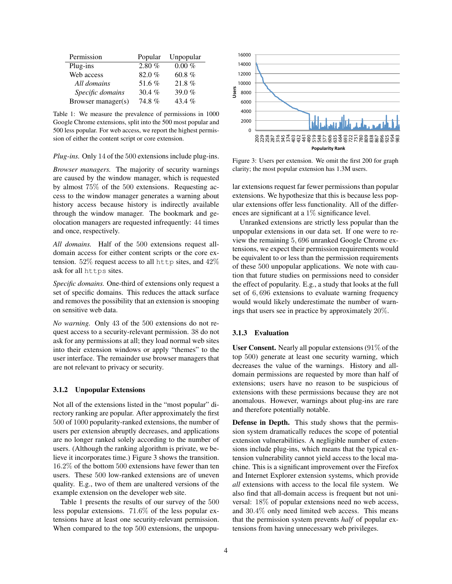| Permission         | Popular  | Unpopular |  |
|--------------------|----------|-----------|--|
| Plug-ins           | 2.80%    | $0.00\%$  |  |
| Web access         | 82.0%    | $60.8 \%$ |  |
| All domains        | 51.6%    | 21.8%     |  |
| Specific domains   | 30.4%    | 39.0%     |  |
| Browser manager(s) | $74.8\%$ | $43.4\%$  |  |

Table 1: We measure the prevalence of permissions in 1000 Google Chrome extensions, split into the 500 most popular and 500 less popular. For web access, we report the highest permission of either the content script or core extension.

*Plug-ins.* Only 14 of the 500 extensions include plug-ins.

*Browser managers.* The majority of security warnings are caused by the window manager, which is requested by almost 75% of the 500 extensions. Requesting access to the window manager generates a warning about history access because history is indirectly available through the window manager. The bookmark and geolocation managers are requested infrequently: 44 times and once, respectively.

*All domains.* Half of the 500 extensions request alldomain access for either content scripts or the core extension.  $52\%$  request access to all http sites, and  $42\%$ ask for all https sites.

*Specific domains.* One-third of extensions only request a set of specific domains. This reduces the attack surface and removes the possibility that an extension is snooping on sensitive web data.

*No warning.* Only 43 of the 500 extensions do not request access to a security-relevant permission. 38 do not ask for any permissions at all; they load normal web sites into their extension windows or apply "themes" to the user interface. The remainder use browser managers that are not relevant to privacy or security.

#### 3.1.2 Unpopular Extensions

Not all of the extensions listed in the "most popular" directory ranking are popular. After approximately the first 500 of 1000 popularity-ranked extensions, the number of users per extension abruptly decreases, and applications are no longer ranked solely according to the number of users. (Although the ranking algorithm is private, we believe it incorporates time.) Figure 3 shows the transition. 16.2% of the bottom 500 extensions have fewer than ten users. These 500 low-ranked extensions are of uneven quality. E.g., two of them are unaltered versions of the example extension on the developer web site.

Table 1 presents the results of our survey of the 500 less popular extensions. 71.6% of the less popular extensions have at least one security-relevant permission. When compared to the top 500 extensions, the unpopu-



Figure 3: Users per extension. We omit the first 200 for graph clarity; the most popular extension has 1.3M users.

lar extensions request far fewer permissions than popular extensions. We hypothesize that this is because less popular extensions offer less functionality. All of the differences are significant at a 1% significance level.

Unranked extensions are strictly less popular than the unpopular extensions in our data set. If one were to review the remaining 5, 696 unranked Google Chrome extensions, we expect their permission requirements would be equivalent to or less than the permission requirements of these 500 unpopular applications. We note with caution that future studies on permissions need to consider the effect of popularity. E.g., a study that looks at the full set of 6, 696 extensions to evaluate warning frequency would would likely underestimate the number of warnings that users see in practice by approximately 20%.

#### 3.1.3 Evaluation

User Consent. Nearly all popular extensions (91% of the top 500) generate at least one security warning, which decreases the value of the warnings. History and alldomain permissions are requested by more than half of extensions; users have no reason to be suspicious of extensions with these permissions because they are not anomalous. However, warnings about plug-ins are rare and therefore potentially notable.

Defense in Depth. This study shows that the permission system dramatically reduces the scope of potential extension vulnerabilities. A negligible number of extensions include plug-ins, which means that the typical extension vulnerability cannot yield access to the local machine. This is a significant improvement over the Firefox and Internet Explorer extension systems, which provide *all* extensions with access to the local file system. We also find that all-domain access is frequent but not universal: 18% of popular extensions need no web access, and 30.4% only need limited web access. This means that the permission system prevents *half* of popular extensions from having unnecessary web privileges.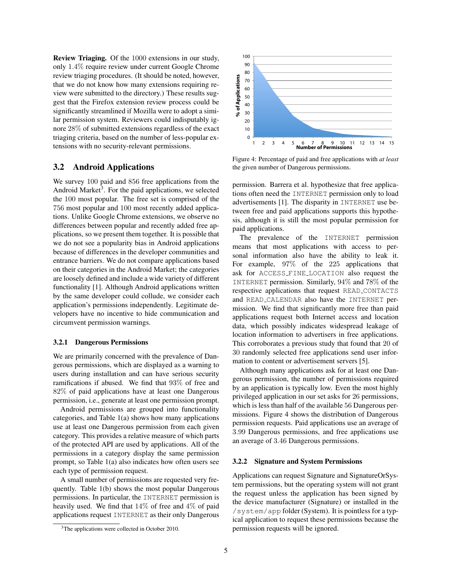Review Triaging. Of the 1000 extensions in our study, only 1.4% require review under current Google Chrome review triaging procedures. (It should be noted, however, that we do not know how many extensions requiring review were submitted to the directory.) These results suggest that the Firefox extension review process could be significantly streamlined if Mozilla were to adopt a similar permission system. Reviewers could indisputably ignore 28% of submitted extensions regardless of the exact triaging criteria, based on the number of less-popular extensions with no security-relevant permissions.

### 3.2 Android Applications

We survey 100 paid and 856 free applications from the Android Market<sup>3</sup>. For the paid applications, we selected the 100 most popular. The free set is comprised of the 756 most popular and 100 most recently added applications. Unlike Google Chrome extensions, we observe no differences between popular and recently added free applications, so we present them together. It is possible that we do not see a popularity bias in Android applications because of differences in the developer communities and entrance barriers. We do not compare applications based on their categories in the Android Market; the categories are loosely defined and include a wide variety of different functionality [1]. Although Android applications written by the same developer could collude, we consider each application's permissions independently. Legitimate developers have no incentive to hide communication and circumvent permission warnings.

#### 3.2.1 Dangerous Permissions

We are primarily concerned with the prevalence of Dangerous permissions, which are displayed as a warning to users during installation and can have serious security ramifications if abused. We find that 93% of free and 82% of paid applications have at least one Dangerous permission, i.e., generate at least one permission prompt.

Android permissions are grouped into functionality categories, and Table 1(a) shows how many applications use at least one Dangerous permission from each given category. This provides a relative measure of which parts of the protected API are used by applications. All of the permissions in a category display the same permission prompt, so Table 1(a) also indicates how often users see each type of permission request.

A small number of permissions are requested very frequently. Table 1(b) shows the most popular Dangerous permissions. In particular, the INTERNET permission is heavily used. We find that 14% of free and 4% of paid applications request INTERNET as their only Dangerous



Figure 4: Percentage of paid and free applications with *at least* the given number of Dangerous permissions.

permission. Barrera et al. hypothesize that free applications often need the INTERNET permission only to load advertisements [1]. The disparity in INTERNET use between free and paid applications supports this hypothesis, although it is still the most popular permission for paid applications.

The prevalence of the INTERNET permission means that most applications with access to personal information also have the ability to leak it. For example, 97% of the 225 applications that ask for ACCESS FINE LOCATION also request the INTERNET permission. Similarly, 94% and 78% of the respective applications that request READ CONTACTS and READ CALENDAR also have the INTERNET permission. We find that significantly more free than paid applications request both Internet access and location data, which possibly indicates widespread leakage of location information to advertisers in free applications. This corroborates a previous study that found that 20 of 30 randomly selected free applications send user information to content or advertisement servers [5].

Although many applications ask for at least one Dangerous permission, the number of permissions required by an application is typically low. Even the most highly privileged application in our set asks for 26 permissions, which is less than half of the available 56 Dangerous permissions. Figure 4 shows the distribution of Dangerous permission requests. Paid applications use an average of 3.99 Dangerous permissions, and free applications use an average of 3.46 Dangerous permissions.

#### 3.2.2 Signature and System Permissions

Applications can request Signature and SignatureOrSystem permissions, but the operating system will not grant the request unless the application has been signed by the device manufacturer (Signature) or installed in the /system/app folder (System). It is pointless for a typical application to request these permissions because the permission requests will be ignored.

<sup>&</sup>lt;sup>3</sup>The applications were collected in October 2010.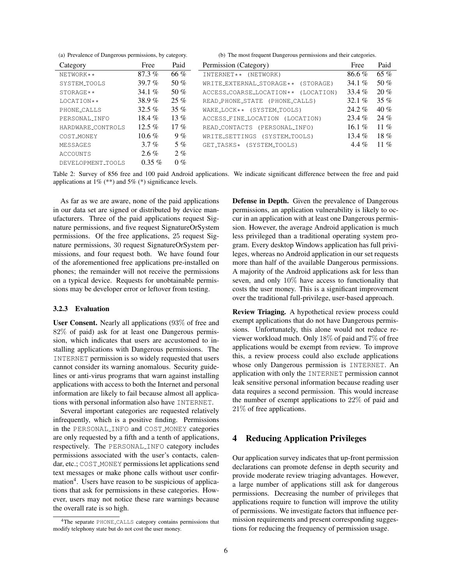| (a) Trevalence of Bangerous permissions, by early $\alpha$ , |          |        | (b) The most frequent Bangerous permissions and their categories. |          |         |  |
|--------------------------------------------------------------|----------|--------|-------------------------------------------------------------------|----------|---------|--|
| Category                                                     | Free     | Paid   | Permission (Category)                                             | Free     | Paid    |  |
| NETWORK**                                                    | $87.3\%$ | 66 %   | INTERNET**<br>(NETWORK)                                           | $86.6\%$ | 65 %    |  |
| SYSTEM_TOOLS                                                 | 39.7 $%$ | 50 %   | WRITE_EXTERNAL_STORAGE**<br>(STORAGE)                             | 34.1 $%$ | 50 %    |  |
| $STORAGE**$                                                  | 34.1 $%$ | 50 %   | ACCESS_COARSE_LOCATION ** (LOCATION)                              | 33.4 $%$ | 20%     |  |
| LOCATION **                                                  | 38.9 $%$ | $25\%$ | READ_PHONE_STATE (PHONE_CALLS)                                    | 32.1 $%$ | $35\%$  |  |
| PHONE_CALLS                                                  | 32.5 $%$ | 35 $%$ | WAKE_LOCK** (SYSTEM_TOOLS)                                        | $24.2\%$ | 40%     |  |
| PERSONAL_INFO                                                | $18.4\%$ | 13 $%$ | ACCESS_FINE_LOCATION (LOCATION)                                   | $23.4\%$ | 24%     |  |
| HARDWARE_CONTROLS                                            | $12.5\%$ | 17 %   | READ_CONTACTS (PERSONAL_INFO)                                     | 16.1 $%$ | 11 $%$  |  |
| COST_MONEY                                                   | 10.6 $%$ | 9%     | WRITE_SETTINGS (SYSTEM_TOOLS)                                     | 13.4 $%$ | $18 \%$ |  |
| MESSAGES                                                     | $3.7\%$  | $5\%$  | GET_TASKS* (SYSTEM_TOOLS)                                         | 4.4 $%$  | 11 %    |  |
| ACCOUNTS                                                     | $2.6\%$  | $2\%$  |                                                                   |          |         |  |
| DEVELOPMENT_TOOLS                                            | $0.35\%$ | $0\%$  |                                                                   |          |         |  |

(a) Prevalence of Dangerous permissions, by category.

(b) The most frequent Dangerous permissions and their categories.

Table 2: Survey of 856 free and 100 paid Android applications. We indicate significant difference between the free and paid applications at  $1\%$  (\*\*) and  $5\%$  (\*) significance levels.

As far as we are aware, none of the paid applications in our data set are signed or distributed by device manufacturers. Three of the paid applications request Signature permissions, and five request SignatureOrSystem permissions. Of the free applications, 25 request Signature permissions, 30 request SignatureOrSystem permissions, and four request both. We have found four of the aforementioned free applications pre-installed on phones; the remainder will not receive the permissions on a typical device. Requests for unobtainable permissions may be developer error or leftover from testing.

#### 3.2.3 Evaluation

User Consent. Nearly all applications (93% of free and 82% of paid) ask for at least one Dangerous permission, which indicates that users are accustomed to installing applications with Dangerous permissions. The INTERNET permission is so widely requested that users cannot consider its warning anomalous. Security guidelines or anti-virus programs that warn against installing applications with access to both the Internet and personal information are likely to fail because almost all applications with personal information also have INTERNET.

Several important categories are requested relatively infrequently, which is a positive finding. Permissions in the PERSONAL INFO and COST MONEY categories are only requested by a fifth and a tenth of applications, respectively. The PERSONAL INFO category includes permissions associated with the user's contacts, calendar, etc.; COST MONEY permissions let applications send text messages or make phone calls without user confirmation<sup>4</sup>. Users have reason to be suspicious of applications that ask for permissions in these categories. However, users may not notice these rare warnings because the overall rate is so high.

Defense in Depth. Given the prevalence of Dangerous permissions, an application vulnerability is likely to occur in an application with at least one Dangerous permission. However, the average Android application is much less privileged than a traditional operating system program. Every desktop Windows application has full privileges, whereas no Android application in our set requests more than half of the available Dangerous permissions. A majority of the Android applications ask for less than seven, and only 10% have access to functionality that costs the user money. This is a significant improvement over the traditional full-privilege, user-based approach.

Review Triaging. A hypothetical review process could exempt applications that do not have Dangerous permissions. Unfortunately, this alone would not reduce reviewer workload much. Only 18% of paid and 7% of free applications would be exempt from review. To improve this, a review process could also exclude applications whose only Dangerous permission is INTERNET. An application with only the INTERNET permission cannot leak sensitive personal information because reading user data requires a second permission. This would increase the number of exempt applications to 22% of paid and 21% of free applications.

### 4 Reducing Application Privileges

Our application survey indicates that up-front permission declarations can promote defense in depth security and provide moderate review triaging advantages. However, a large number of applications still ask for dangerous permissions. Decreasing the number of privileges that applications require to function will improve the utility of permissions. We investigate factors that influence permission requirements and present corresponding suggestions for reducing the frequency of permission usage.

<sup>4</sup>The separate PHONE CALLS category contains permissions that modify telephony state but do not cost the user money.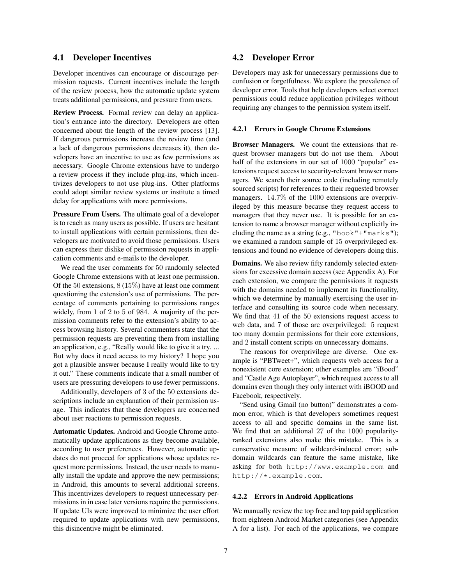# 4.1 Developer Incentives

Developer incentives can encourage or discourage permission requests. Current incentives include the length of the review process, how the automatic update system treats additional permissions, and pressure from users.

Review Process. Formal review can delay an application's entrance into the directory. Developers are often concerned about the length of the review process [13]. If dangerous permissions increase the review time (and a lack of dangerous permissions decreases it), then developers have an incentive to use as few permissions as necessary. Google Chrome extensions have to undergo a review process if they include plug-ins, which incentivizes developers to not use plug-ins. Other platforms could adopt similar review systems or institute a timed delay for applications with more permissions.

Pressure From Users. The ultimate goal of a developer is to reach as many users as possible. If users are hesitant to install applications with certain permissions, then developers are motivated to avoid those permissions. Users can express their dislike of permission requests in application comments and e-mails to the developer.

We read the user comments for 50 randomly selected Google Chrome extensions with at least one permission. Of the 50 extensions, 8 (15%) have at least one comment questioning the extension's use of permissions. The percentage of comments pertaining to permissions ranges widely, from 1 of 2 to 5 of 984. A majority of the permission comments refer to the extension's ability to access browsing history. Several commenters state that the permission requests are preventing them from installing an application, e.g., "Really would like to give it a try. ... But why does it need access to my history? I hope you got a plausible answer because I really would like to try it out." These comments indicate that a small number of users are pressuring developers to use fewer permissions.

Additionally, developers of 3 of the 50 extensions descriptions include an explanation of their permission usage. This indicates that these developers are concerned about user reactions to permission requests.

Automatic Updates. Android and Google Chrome automatically update applications as they become available, according to user preferences. However, automatic updates do not proceed for applications whose updates request more permissions. Instead, the user needs to manually install the update and approve the new permissions; in Android, this amounts to several additional screens. This incentivizes developers to request unnecessary permissions in in case later versions require the permissions. If update UIs were improved to minimize the user effort required to update applications with new permissions, this disincentive might be eliminated.

# 4.2 Developer Error

Developers may ask for unnecessary permissions due to confusion or forgetfulness. We explore the prevalence of developer error. Tools that help developers select correct permissions could reduce application privileges without requiring any changes to the permission system itself.

### 4.2.1 Errors in Google Chrome Extensions

Browser Managers. We count the extensions that request browser managers but do not use them. About half of the extensions in our set of 1000 "popular" extensions request access to security-relevant browser managers. We search their source code (including remotely sourced scripts) for references to their requested browser managers. 14.7% of the 1000 extensions are overprivileged by this measure because they request access to managers that they never use. It is possible for an extension to name a browser manager without explicitly including the name as a string  $(e.g., "book"+"marks");$ we examined a random sample of 15 overprivileged extensions and found no evidence of developers doing this.

Domains. We also review fifty randomly selected extensions for excessive domain access (see Appendix A). For each extension, we compare the permissions it requests with the domains needed to implement its functionality, which we determine by manually exercising the user interface and consulting its source code when necessary. We find that 41 of the 50 extensions request access to web data, and 7 of those are overprivileged: 5 request too many domain permissions for their core extensions, and 2 install content scripts on unnecessary domains.

The reasons for overprivilege are diverse. One example is "PBTweet+", which requests web access for a nonexistent core extension; other examples are "iBood" and "Castle Age Autoplayer", which request access to all domains even though they only interact with iBOOD and Facebook, respectively.

"Send using Gmail (no button)" demonstrates a common error, which is that developers sometimes request access to all and specific domains in the same list. We find that an additional 27 of the 1000 popularityranked extensions also make this mistake. This is a conservative measure of wildcard-induced error; subdomain wildcards can feature the same mistake, like asking for both http://www.example.com and http://\*.example.com.

#### 4.2.2 Errors in Android Applications

We manually review the top free and top paid application from eighteen Android Market categories (see Appendix A for a list). For each of the applications, we compare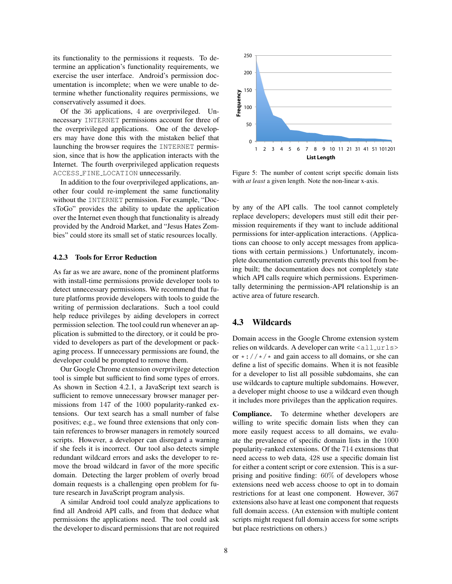its functionality to the permissions it requests. To determine an application's functionality requirements, we exercise the user interface. Android's permission documentation is incomplete; when we were unable to determine whether functionality requires permissions, we conservatively assumed it does.

Of the 36 applications, 4 are overprivileged. Unnecessary INTERNET permissions account for three of the overprivileged applications. One of the developers may have done this with the mistaken belief that launching the browser requires the INTERNET permission, since that is how the application interacts with the Internet. The fourth overprivileged application requests ACCESS FINE LOCATION unnecessarily.

In addition to the four overprivileged applications, another four could re-implement the same functionality without the INTERNET permission. For example, "DocsToGo" provides the ability to update the application over the Internet even though that functionality is already provided by the Android Market, and "Jesus Hates Zombies" could store its small set of static resources locally.

#### 4.2.3 Tools for Error Reduction

As far as we are aware, none of the prominent platforms with install-time permissions provide developer tools to detect unnecessary permissions. We recommend that future platforms provide developers with tools to guide the writing of permission declarations. Such a tool could help reduce privileges by aiding developers in correct permission selection. The tool could run whenever an application is submitted to the directory, or it could be provided to developers as part of the development or packaging process. If unnecessary permissions are found, the developer could be prompted to remove them.

Our Google Chrome extension overprivilege detection tool is simple but sufficient to find some types of errors. As shown in Section 4.2.1, a JavaScript text search is sufficient to remove unnecessary browser manager permissions from 147 of the 1000 popularity-ranked extensions. Our text search has a small number of false positives; e.g., we found three extensions that only contain references to browser managers in remotely sourced scripts. However, a developer can disregard a warning if she feels it is incorrect. Our tool also detects simple redundant wildcard errors and asks the developer to remove the broad wildcard in favor of the more specific domain. Detecting the larger problem of overly broad domain requests is a challenging open problem for future research in JavaScript program analysis.

A similar Android tool could analyze applications to find all Android API calls, and from that deduce what permissions the applications need. The tool could ask the developer to discard permissions that are not required



Figure 5: The number of content script specific domain lists with *at least* a given length. Note the non-linear x-axis.

by any of the API calls. The tool cannot completely replace developers; developers must still edit their permission requirements if they want to include additional permissions for inter-application interactions. (Applications can choose to only accept messages from applications with certain permissions.) Unfortunately, incomplete documentation currently prevents this tool from being built; the documentation does not completely state which API calls require which permissions. Experimentally determining the permission-API relationship is an active area of future research.

# 4.3 Wildcards

Domain access in the Google Chrome extension system relies on wildcards. A developer can write <all\_urls> or  $\star$ :// $\star$ / $\star$  and gain access to all domains, or she can define a list of specific domains. When it is not feasible for a developer to list all possible subdomains, she can use wildcards to capture multiple subdomains. However, a developer might choose to use a wildcard even though it includes more privileges than the application requires.

Compliance. To determine whether developers are willing to write specific domain lists when they can more easily request access to all domains, we evaluate the prevalence of specific domain lists in the 1000 popularity-ranked extensions. Of the 714 extensions that need access to web data, 428 use a specific domain list for either a content script or core extension. This is a surprising and positive finding: 60% of developers whose extensions need web access choose to opt in to domain restrictions for at least one component. However, 367 extensions also have at least one component that requests full domain access. (An extension with multiple content scripts might request full domain access for some scripts but place restrictions on others.)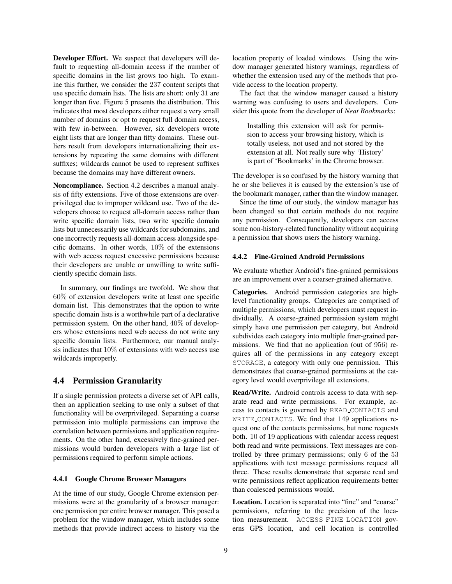Developer Effort. We suspect that developers will default to requesting all-domain access if the number of specific domains in the list grows too high. To examine this further, we consider the 237 content scripts that use specific domain lists. The lists are short: only 31 are longer than five. Figure 5 presents the distribution. This indicates that most developers either request a very small number of domains or opt to request full domain access, with few in-between. However, six developers wrote eight lists that are longer than fifty domains. These outliers result from developers internationalizing their extensions by repeating the same domains with different suffixes; wildcards cannot be used to represent suffixes because the domains may have different owners.

Noncompliance. Section 4.2 describes a manual analysis of fifty extensions. Five of those extensions are overprivileged due to improper wildcard use. Two of the developers choose to request all-domain access rather than write specific domain lists, two write specific domain lists but unnecessarily use wildcards for subdomains, and one incorrectly requests all-domain access alongside specific domains. In other words,  $10\%$  of the extensions with web access request excessive permissions because their developers are unable or unwilling to write sufficiently specific domain lists.

In summary, our findings are twofold. We show that 60% of extension developers write at least one specific domain list. This demonstrates that the option to write specific domain lists is a worthwhile part of a declarative permission system. On the other hand, 40% of developers whose extensions need web access do not write any specific domain lists. Furthermore, our manual analysis indicates that 10% of extensions with web access use wildcards improperly.

# 4.4 Permission Granularity

If a single permission protects a diverse set of API calls, then an application seeking to use only a subset of that functionality will be overprivileged. Separating a coarse permission into multiple permissions can improve the correlation between permissions and application requirements. On the other hand, excessively fine-grained permissions would burden developers with a large list of permissions required to perform simple actions.

### 4.4.1 Google Chrome Browser Managers

At the time of our study, Google Chrome extension permissions were at the granularity of a browser manager: one permission per entire browser manager. This posed a problem for the window manager, which includes some methods that provide indirect access to history via the location property of loaded windows. Using the window manager generated history warnings, regardless of whether the extension used any of the methods that provide access to the location property.

The fact that the window manager caused a history warning was confusing to users and developers. Consider this quote from the developer of *Neat Bookmarks*:

Installing this extension will ask for permission to access your browsing history, which is totally useless, not used and not stored by the extension at all. Not really sure why 'History' is part of 'Bookmarks' in the Chrome browser.

The developer is so confused by the history warning that he or she believes it is caused by the extension's use of the bookmark manager, rather than the window manager.

Since the time of our study, the window manager has been changed so that certain methods do not require any permission. Consequently, developers can access some non-history-related functionality without acquiring a permission that shows users the history warning.

#### 4.4.2 Fine-Grained Android Permissions

We evaluate whether Android's fine-grained permissions are an improvement over a coarser-grained alternative.

Categories. Android permission categories are highlevel functionality groups. Categories are comprised of multiple permissions, which developers must request individually. A coarse-grained permission system might simply have one permission per category, but Android subdivides each category into multiple finer-grained permissions. We find that no application (out of 956) requires all of the permissions in any category except STORAGE, a category with only one permission. This demonstrates that coarse-grained permissions at the category level would overprivilege all extensions.

Read/Write. Android controls access to data with separate read and write permissions. For example, access to contacts is governed by READ CONTACTS and WRITE CONTACTS. We find that 149 applications request one of the contacts permissions, but none requests both. 10 of 19 applications with calendar access request both read and write permissions. Text messages are controlled by three primary permissions; only 6 of the 53 applications with text message permissions request all three. These results demonstrate that separate read and write permissions reflect application requirements better than coalesced permissions would.

Location. Location is separated into "fine" and "coarse" permissions, referring to the precision of the location measurement. ACCESS FINE LOCATION governs GPS location, and cell location is controlled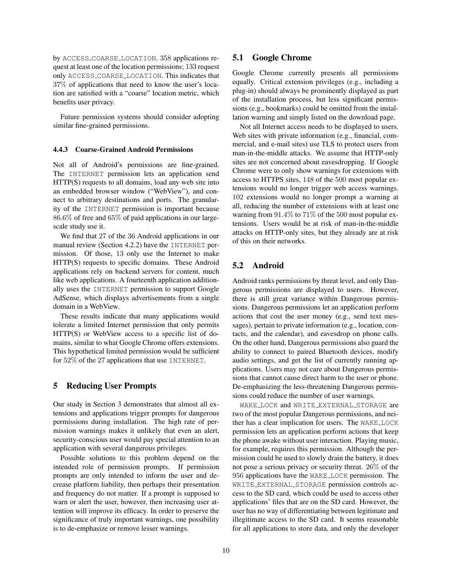by ACCESS COARSE LOCATION. 358 applications request at least one of the location permissions; 133 request only ACCESS COARSE LOCATION. This indicates that 37% of applications that need to know the user's location are satisfied with a "coarse" location metric, which benefits user privacy.

Future permission systems should consider adopting similar fine-grained permissions.

#### 4.4.3 Coarse-Grained Android Permissions

Not all of Android's permissions are fine-grained. The INTERNET permission lets an application send HTTP(S) requests to all domains, load any web site into an embedded browser window ("WebView"), and connect to arbitrary destinations and ports. The granularity of the INTERNET permission is important because 86.6% of free and 65% of paid applications in our largescale study use it.

We find that 27 of the 36 Android applications in our manual review (Section 4.2.2) have the INTERNET permission. Of those, 13 only use the Internet to make HTTP(S) requests to specific domains. These Android applications rely on backend servers for content, much like web applications. A fourteenth application additionally uses the INTERNET permission to support Google AdSense, which displays advertisements from a single domain in a WebView.

These results indicate that many applications would tolerate a limited Internet permission that only permits HTTP(S) or WebView access to a specific list of domains, similar to what Google Chrome offers extensions. This hypothetical limited permission would be sufficient for 52% of the 27 applications that use INTERNET.

### 5 Reducing User Prompts

Our study in Section 3 demonstrates that almost all extensions and applications trigger prompts for dangerous permissions during installation. The high rate of permission warnings makes it unlikely that even an alert, security-conscious user would pay special attention to an application with several dangerous privileges.

Possible solutions to this problem depend on the intended role of permission prompts. If permission prompts are only intended to inform the user and decrease platform liability, then perhaps their presentation and frequency do not matter. If a prompt is supposed to warn or alert the user, however, then increasing user attention will improve its efficacy. In order to preserve the significance of truly important warnings, one possibility is to de-emphasize or remove lesser warnings.

## 5.1 Google Chrome

Google Chrome currently presents all permissions equally. Critical extension privileges (e.g., including a plug-in) should always be prominently displayed as part of the installation process, but less significant permissions (e.g., bookmarks) could be omitted from the installation warning and simply listed on the download page.

Not all Internet access needs to be displayed to users. Web sites with private information (e.g., financial, commercial, and e-mail sites) use TLS to protect users from man-in-the-middle attacks. We assume that HTTP-only sites are not concerned about eavesdropping. If Google Chrome were to only show warnings for extensions with access to HTTPS sites, 148 of the 500 most popular extensions would no longer trigger web access warnings. 102 extensions would no longer prompt a warning at all, reducing the number of extensions with at least one warning from 91.4% to 71% of the 500 most popular extensions. Users would be at risk of man-in-the-middle attacks on HTTP-only sites, but they already are at risk of this on their networks.

# 5.2 Android

Android ranks permissions by threat level, and only Dangerous permissions are displayed to users. However, there is still great variance within Dangerous permissions. Dangerous permissions let an application perform actions that cost the user money (e.g., send text messages), pertain to private information (e.g., location, contacts, and the calendar), and eavesdrop on phone calls. On the other hand, Dangerous permissions also guard the ability to connect to paired Bluetooth devices, modify audio settings, and get the list of currently running applications. Users may not care about Dangerous permissions that cannot cause direct harm to the user or phone. De-emphasizing the less-threatening Dangerous permissions could reduce the number of user warnings.

WAKE LOCK and WRITE EXTERNAL STORAGE are two of the most popular Dangerous permissions, and neither has a clear implication for users. The WAKE LOCK permission lets an application perform actions that keep the phone awake without user interaction. Playing music, for example, requires this permission. Although the permission could be used to slowly drain the battery, it does not pose a serious privacy or security threat. 26% of the 956 applications have the WAKE LOCK permission. The WRITE EXTERNAL STORAGE permission controls access to the SD card, which could be used to access other applications' files that are on the SD card. However, the user has no way of differentiating between legitimate and illegitimate access to the SD card. It seems reasonable for all applications to store data, and only the developer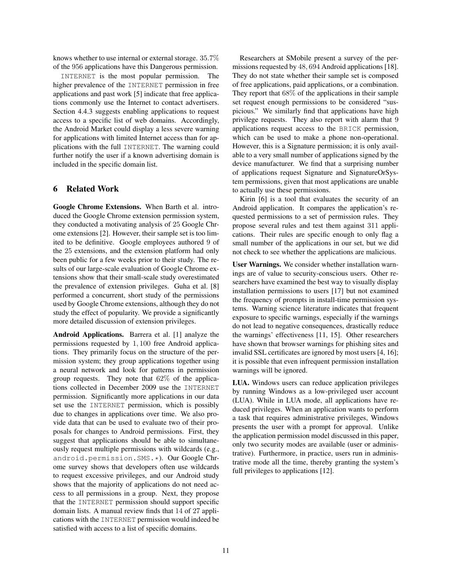knows whether to use internal or external storage. 35.7% of the 956 applications have this Dangerous permission.

INTERNET is the most popular permission. The higher prevalence of the INTERNET permission in free applications and past work [5] indicate that free applications commonly use the Internet to contact advertisers. Section 4.4.3 suggests enabling applications to request access to a specific list of web domains. Accordingly, the Android Market could display a less severe warning for applications with limited Internet access than for applications with the full INTERNET. The warning could further notify the user if a known advertising domain is included in the specific domain list.

### 6 Related Work

Google Chrome Extensions. When Barth et al. introduced the Google Chrome extension permission system, they conducted a motivating analysis of 25 Google Chrome extensions [2]. However, their sample set is too limited to be definitive. Google employees authored 9 of the 25 extensions, and the extension platform had only been public for a few weeks prior to their study. The results of our large-scale evaluation of Google Chrome extensions show that their small-scale study overestimated the prevalence of extension privileges. Guha et al. [8] performed a concurrent, short study of the permissions used by Google Chrome extensions, although they do not study the effect of popularity. We provide a significantly more detailed discussion of extension privileges.

Android Applications. Barrera et al. [1] analyze the permissions requested by 1, 100 free Android applications. They primarily focus on the structure of the permission system; they group applications together using a neural network and look for patterns in permission group requests. They note that 62% of the applications collected in December 2009 use the INTERNET permission. Significantly more applications in our data set use the INTERNET permission, which is possibly due to changes in applications over time. We also provide data that can be used to evaluate two of their proposals for changes to Android permissions. First, they suggest that applications should be able to simultaneously request multiple permissions with wildcards (e.g., android.permission.SMS.\*). Our Google Chrome survey shows that developers often use wildcards to request excessive privileges, and our Android study shows that the majority of applications do not need access to all permissions in a group. Next, they propose that the INTERNET permission should support specific domain lists. A manual review finds that 14 of 27 applications with the INTERNET permission would indeed be satisfied with access to a list of specific domains.

Researchers at SMobile present a survey of the permissions requested by 48, 694 Android applications [18]. They do not state whether their sample set is composed of free applications, paid applications, or a combination. They report that 68% of the applications in their sample set request enough permissions to be considered "suspicious." We similarly find that applications have high privilege requests. They also report with alarm that 9 applications request access to the BRICK permission, which can be used to make a phone non-operational. However, this is a Signature permission; it is only available to a very small number of applications signed by the device manufacturer. We find that a surprising number of applications request Signature and SignatureOrSystem permissions, given that most applications are unable to actually use these permissions.

Kirin [6] is a tool that evaluates the security of an Android application. It compares the application's requested permissions to a set of permission rules. They propose several rules and test them against 311 applications. Their rules are specific enough to only flag a small number of the applications in our set, but we did not check to see whether the applications are malicious.

User Warnings. We consider whether installation warnings are of value to security-conscious users. Other researchers have examined the best way to visually display installation permissions to users [17] but not examined the frequency of prompts in install-time permission systems. Warning science literature indicates that frequent exposure to specific warnings, especially if the warnings do not lead to negative consequences, drastically reduce the warnings' effectiveness [11, 15]. Other researchers have shown that browser warnings for phishing sites and invalid SSL certificates are ignored by most users [4, 16]; it is possible that even infrequent permission installation warnings will be ignored.

LUA. Windows users can reduce application privileges by running Windows as a low-privileged user account (LUA). While in LUA mode, all applications have reduced privileges. When an application wants to perform a task that requires administrative privileges, Windows presents the user with a prompt for approval. Unlike the application permission model discussed in this paper, only two security modes are available (user or administrative). Furthermore, in practice, users run in administrative mode all the time, thereby granting the system's full privileges to applications [12].